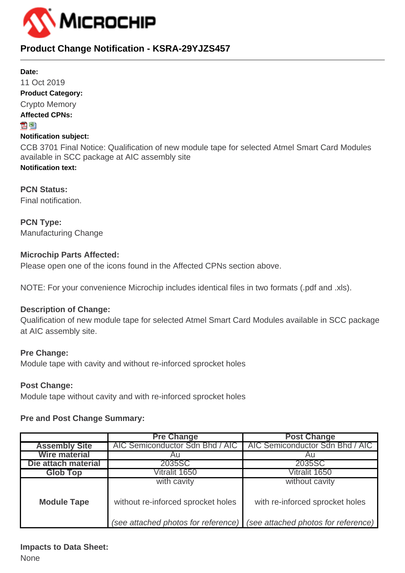

# **Product Change Notification - KSRA-29YJZS457**

#### **Date:**

11 Oct 2019 **Product Category:** Crypto Memory **Affected CPNs:** 지점 **Notification subject:**

CCB 3701 Final Notice: Qualification of new module tape for selected Atmel Smart Card Modules available in SCC package at AIC assembly site **Notification text:**

**PCN Status:** Final notification.

**PCN Type:** Manufacturing Change

# **Microchip Parts Affected:**

Please open one of the icons found in the Affected CPNs section above.

NOTE: For your convenience Microchip includes identical files in two formats (.pdf and .xls).

# **Description of Change:**

Qualification of new module tape for selected Atmel Smart Card Modules available in SCC package at AIC assembly site.

# **Pre Change:**

Module tape with cavity and without re-inforced sprocket holes

#### **Post Change:**

Module tape without cavity and with re-inforced sprocket holes

#### **Pre and Post Change Summary:**

|                      | <b>Pre Change</b>                   | <b>Post Change</b>                  |  |  |  |  |  |
|----------------------|-------------------------------------|-------------------------------------|--|--|--|--|--|
| <b>Assembly Site</b> | AIC Semiconductor Sdn Bhd / AIC     | AIC Semiconductor Sdn Bhd / AIC     |  |  |  |  |  |
| <b>Wire material</b> | AU                                  |                                     |  |  |  |  |  |
| Die attach material  | 2035SC                              | 2035SC                              |  |  |  |  |  |
| <b>Glob Top</b>      | Vitralit 1650                       | Vitralit 1650                       |  |  |  |  |  |
|                      | with cavity                         | without cavity                      |  |  |  |  |  |
| <b>Module Tape</b>   | without re-inforced sprocket holes  | with re-inforced sprocket holes     |  |  |  |  |  |
|                      | (see attached photos for reference) | (see attached photos for reference) |  |  |  |  |  |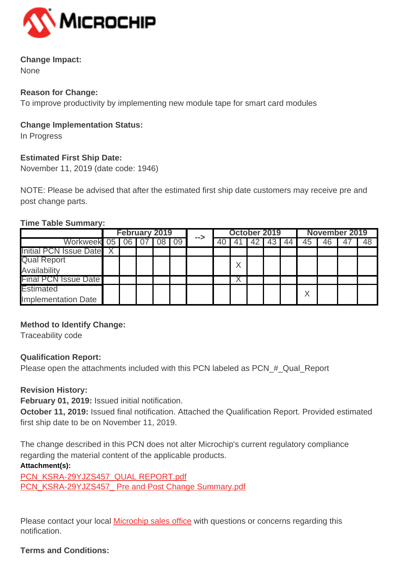

# **Change Impact:**

None

## **Reason for Change:**

To improve productivity by implementing new module tape for smart card modules

## **Change Implementation Status:**

In Progress

# **Estimated First Ship Date:**

November 11, 2019 (date code: 1946)

NOTE: Please be advised that after the estimated first ship date customers may receive pre and post change parts.

#### **Time Table Summary:**

|                             | <b>February 2019</b> |  |  | -->  | October 2019 |  |  |    | November 2019 |    |    |    |  |    |
|-----------------------------|----------------------|--|--|------|--------------|--|--|----|---------------|----|----|----|--|----|
| Workweek 05 06              |                      |  |  | - 09 |              |  |  | 42 | 43            | 44 | 45 | 46 |  | 48 |
| Initial PCN Issue Date X    |                      |  |  |      |              |  |  |    |               |    |    |    |  |    |
| <b>Qual Report</b>          |                      |  |  |      |              |  |  |    |               |    |    |    |  |    |
| Availability                |                      |  |  |      |              |  |  |    |               |    |    |    |  |    |
| <b>Final PCN Issue Date</b> |                      |  |  |      |              |  |  |    |               |    |    |    |  |    |
| <b>Estimated</b>            |                      |  |  |      |              |  |  |    |               |    |    |    |  |    |
| <b>Implementation Date</b>  |                      |  |  |      |              |  |  |    |               |    |    |    |  |    |

# **Method to Identify Change:**

Traceability code

# **Qualification Report:**

Please open the attachments included with this PCN labeled as PCN\_#\_Qual\_Report

# **Revision History:**

**February 01, 2019:** Issued initial notification.

**October 11, 2019:** Issued final notification. Attached the Qualification Report. Provided estimated first ship date to be on November 11, 2019.

The change described in this PCN does not alter Microchip's current regulatory compliance regarding the material content of the applicable products.

# **Attachment(s):**

[PCN\\_KSRA-29YJZS457\\_QUAL REPORT.pdf](https://www.microchip.com/mymicrochip/NotificationDetails.aspx?id=13286&file=PCN_KSRA-29YJZS457_QUAL REPORT.pdf) [PCN\\_KSRA-29YJZS457\\_ Pre and Post Change Summary.pdf](https://www.microchip.com/mymicrochip/NotificationDetails.aspx?id=13286&file=PCN_KSRA-29YJZS457_ Pre and Post Change Summary.pdf)

Please contact your local **[Microchip sales office](http://www.microchip.com/distributors/SalesHome.aspx)** with questions or concerns regarding this notification.

# **Terms and Conditions:**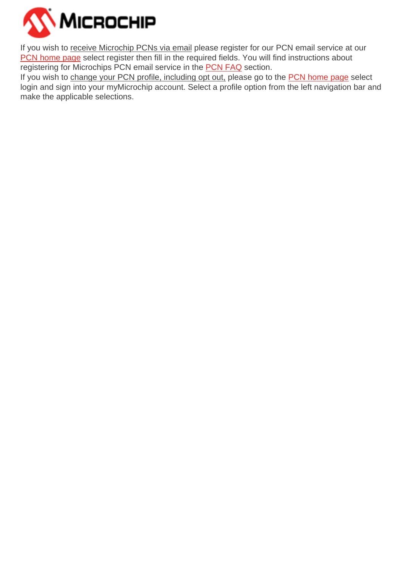

If you wish to receive Microchip PCNs via email please register for our PCN email service at our [PCN home page](http://www.microchip.com/pcn) select register then fill in the required fields. You will find instructions about registering for Microchips PCN email service in the [PCN FAQ](http://www.microchip.com/pcn/faqs) section.

If you wish to change your PCN profile, including opt out, please go to the [PCN home page](http://www.microchip.com/pcn) select login and sign into your myMicrochip account. Select a profile option from the left navigation bar and make the applicable selections.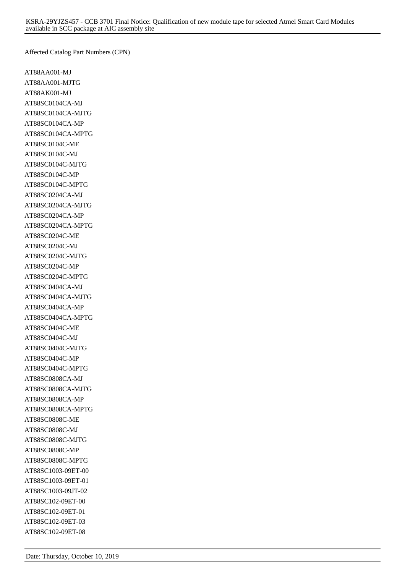Affected Catalog Part Numbers (CPN)

AT88AA001-MJ AT88AA001-MJTG AT88AK001-MJ AT88SC0104CA-MJ AT88SC0104CA-MJTG AT88SC0104CA-MP AT88SC0104CA-MPTG AT88SC0104C-ME AT88SC0104C-MJ AT88SC0104C-MJTG AT88SC0104C-MP AT88SC0104C-MPTG AT88SC0204CA-MJ AT88SC0204CA-MJTG AT88SC0204CA-MP AT88SC0204CA-MPTG AT88SC0204C-ME AT88SC0204C-MJ AT88SC0204C-MJTG AT88SC0204C-MP AT88SC0204C-MPTG AT88SC0404CA-MJ AT88SC0404CA-MJTG AT88SC0404CA-MP AT88SC0404CA-MPTG AT88SC0404C-ME AT88SC0404C-MJ AT88SC0404C-MJTG AT88SC0404C-MP AT88SC0404C-MPTG AT88SC0808CA-MJ AT88SC0808CA-MJTG AT88SC0808CA-MP AT88SC0808CA-MPTG AT88SC0808C-ME AT88SC0808C-MJ AT88SC0808C-MJTG AT88SC0808C-MP AT88SC0808C-MPTG AT88SC1003-09ET-00 AT88SC1003-09ET-01 AT88SC1003-09JT-02 AT88SC102-09ET-00 AT88SC102-09ET-01 AT88SC102-09ET-03 AT88SC102-09ET-08